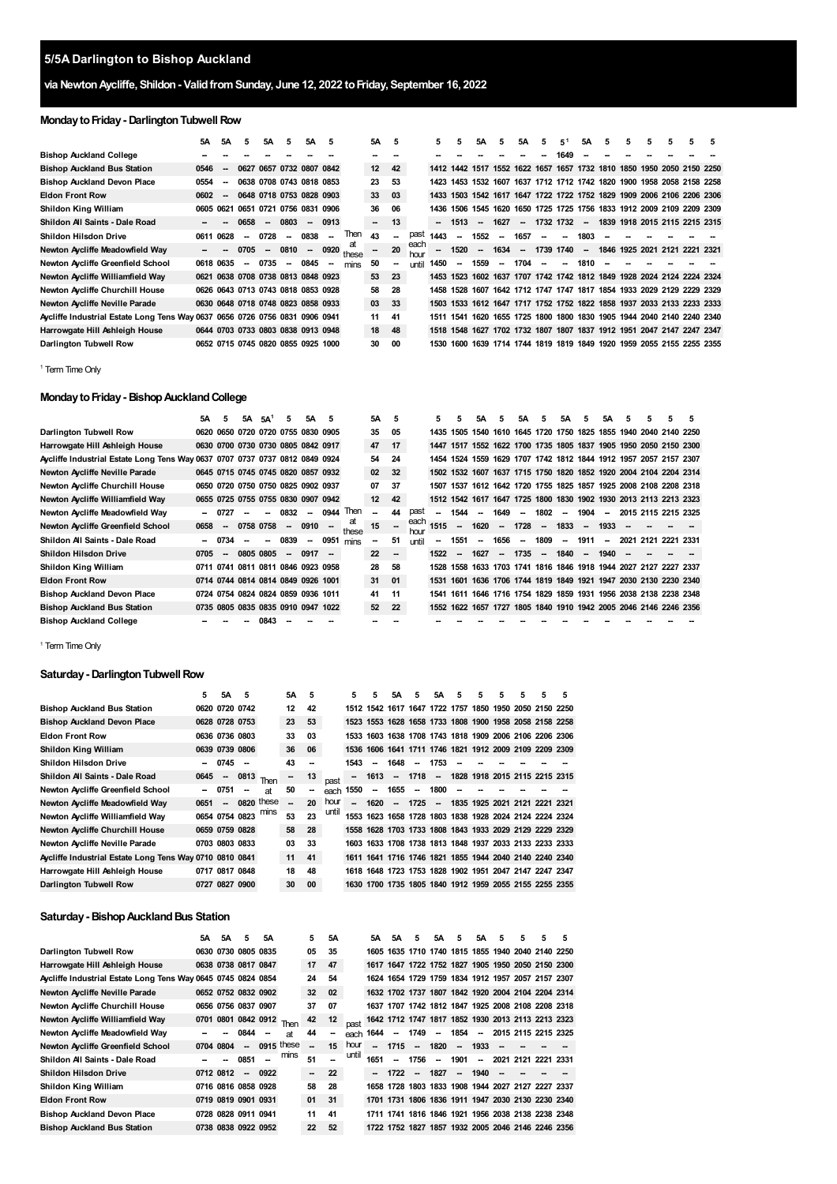# **5/5A Darlington to Bishop Auckland**

# **via NewtonAycliffe, Shildon- ValidfromSunday, June 12, 2022 toFriday, September 16, 2022**

# **Monday to Friday - Darlington Tubwell Row**

|                                                                             | 5A        | <b>5A</b> | 5      | 5Α                       | 5      | 5А                                 | 5    |             | 5Α | - 5                      |              | 5    |      | 5Α                       | 5                        | 5Α     | 5                        | 5 <sup>1</sup> | 5Α                       | 5    | 5 | 5 | 5 | 5                                                                     | 5 |
|-----------------------------------------------------------------------------|-----------|-----------|--------|--------------------------|--------|------------------------------------|------|-------------|----|--------------------------|--------------|------|------|--------------------------|--------------------------|--------|--------------------------|----------------|--------------------------|------|---|---|---|-----------------------------------------------------------------------|---|
| <b>Bishop Auckland College</b>                                              |           |           |        |                          |        |                                    |      |             |    |                          |              |      |      |                          |                          |        |                          | 1649           |                          |      |   |   |   |                                                                       |   |
| <b>Bishop Auckland Bus Station</b>                                          | 0546      | $\sim$    |        |                          |        | 0627 0657 0732 0807 0842           |      |             | 12 | 42                       |              |      |      |                          |                          |        |                          |                |                          |      |   |   |   | 1412 1442 1517 1552 1622 1657 1657 1732 1810 1850 1950 2050 2150 2250 |   |
| <b>Bishop Auckland Devon Place</b>                                          | 0554      | $\sim$    |        |                          |        | 0638 0708 0743 0818 0853           |      |             | 23 | 53                       |              | 1423 | 1453 |                          |                          |        |                          |                |                          |      |   |   |   | 1532 1607 1637 1712 1712 1742 1820 1900 1958 2058 2158 2258           |   |
| <b>Eldon Front Row</b>                                                      | 0602      | $\sim$    |        |                          |        | 0648 0718 0753 0828 0903           |      |             | 33 | 03                       |              |      |      |                          |                          |        |                          |                |                          |      |   |   |   | 1433 1503 1542 1617 1647 1722 1722 1752 1829 1909 2006 2106 2206 2306 |   |
| Shildon King William                                                        | 0605 0621 |           |        |                          |        | 0651 0721 0756 0831 0906           |      |             | 36 | 06                       |              | 1436 |      |                          |                          |        |                          |                |                          |      |   |   |   | 1506 1545 1620 1650 1725 1725 1756 1833 1912 2009 2109 2209 2309      |   |
| Shildon All Saints - Dale Road                                              |           |           | 0658   | $\sim$                   | 0803   | $\overline{\phantom{a}}$           | 0913 |             | н. | 13                       |              | −−   | 1513 |                          | 1627                     | $\sim$ | 1732 1732                |                | $\sim$                   |      |   |   |   | 1839 1918 2015 2115 2215 2315                                         |   |
| <b>Shildon Hilsdon Drive</b>                                                | 0611 0628 |           |        | 0728                     | $\sim$ | 0838                               |      | Then        | 43 | $\overline{\phantom{a}}$ | past         | 1443 |      | 1552                     | $\overline{\phantom{a}}$ | 1657   | --                       | --             | 1803                     |      |   |   |   |                                                                       |   |
| Newton Aycliffe Meadowfield Way                                             |           |           | 0705   | $\overline{\phantom{a}}$ | 0810   | $\sim$                             | 0920 | at<br>these |    | 20                       | each<br>hour | --   | 1520 | $\overline{\phantom{a}}$ | 1634                     |        | 1739                     | 1740           | $\overline{\phantom{a}}$ | 1846 |   |   |   | 1925 2021 2121 2221 2321                                              |   |
| Newton Aycliffe Greenfield School                                           | 0618 0635 |           | $\sim$ | 0735                     | $\sim$ | 0845                               |      | mins        | 50 | --                       | until        | 1450 |      | 1559                     | $\overline{\phantom{a}}$ | 1704   | $\overline{\phantom{a}}$ | --             | 1810                     |      |   |   |   |                                                                       |   |
| Newton Aycliffe Williamfield Way                                            |           |           |        |                          |        | 0621 0638 0708 0738 0813 0848 0923 |      |             | 53 | 23                       |              |      |      |                          |                          |        |                          |                |                          |      |   |   |   | 1453 1523 1602 1637 1707 1742 1742 1812 1849 1928 2024 2124 2224 2324 |   |
| Newton Aycliffe Churchill House                                             |           |           |        |                          |        | 0626 0643 0713 0743 0818 0853 0928 |      |             | 58 | 28                       |              | 1458 |      |                          |                          |        |                          |                |                          |      |   |   |   | 1528 1607 1642 1712 1747 1747 1817 1854 1933 2029 2129 2229 2329      |   |
| Newton Aycliffe Neville Parade                                              |           |           |        |                          |        | 0630 0648 0718 0748 0823 0858 0933 |      |             | 03 | 33                       |              |      |      |                          |                          |        |                          |                |                          |      |   |   |   | 1503 1533 1612 1647 1717 1752 1752 1822 1858 1937 2033 2133 2233 2333 |   |
| Aycliffe Industrial Estate Long Tens Way 0637 0656 0726 0756 0831 0906 0941 |           |           |        |                          |        |                                    |      |             | 11 | 41                       |              | 1511 | 1541 |                          |                          |        |                          |                |                          |      |   |   |   | 1620 1655 1725 1800 1800 1830 1905 1944 2040 2140 2240 2340           |   |
| Harrowgate Hill Ashleigh House                                              |           |           |        |                          |        | 0644 0703 0733 0803 0838 0913 0948 |      |             | 18 | 48                       |              |      |      |                          |                          |        |                          |                |                          |      |   |   |   | 1518 1548 1627 1702 1732 1807 1807 1837 1912 1951 2047 2147 2247 2347 |   |
| Darlington Tubwell Row                                                      |           |           |        |                          |        | 0652 0715 0745 0820 0855 0925 1000 |      |             | 30 | 00                       |              | 1530 |      |                          |                          |        |                          |                |                          |      |   |   |   | 1600 1639 1714 1744 1819 1819 1849 1920 1959 2055 2155 2255 2355      |   |

<span id="page-0-0"></span><sup>1</sup> Term Time Only

## **MondaytoFriday- BishopAucklandCollege**

|                                                                             | 5A        | 5                        | 5A | 5A <sup>1</sup>                    | 5                        | 5А                       | 5    |             | 5A | 5  |              | 5    | 5                        | 5Α        | 5      | 5Α                       | 5.     | 5Α                       | 5      | 5Α                       | 5    | 5                                                                | 5 | 5    |
|-----------------------------------------------------------------------------|-----------|--------------------------|----|------------------------------------|--------------------------|--------------------------|------|-------------|----|----|--------------|------|--------------------------|-----------|--------|--------------------------|--------|--------------------------|--------|--------------------------|------|------------------------------------------------------------------|---|------|
| Darlington Tubwell Row                                                      |           |                          |    | 0620 0650 0720 0720 0755 0830 0905 |                          |                          |      |             | 35 | 05 |              | 1435 |                          | 1505 1540 |        |                          |        |                          |        |                          |      | 1610 1645 1720 1750 1825 1855 1940 2040 2140 2250                |   |      |
| Harrowgate Hill Ashleigh House                                              |           |                          |    | 0630 0700 0730 0730 0805 0842 0917 |                          |                          |      |             | 47 | 17 |              | 1447 |                          |           |        |                          |        |                          |        |                          |      | 1517 1552 1622 1700 1735 1805 1837 1905 1950 2050 2150 2300      |   |      |
| Aycliffe Industrial Estate Long Tens Way 0637 0707 0737 0737 0812 0849 0924 |           |                          |    |                                    |                          |                          |      |             | 54 | 24 |              |      |                          |           |        |                          |        |                          |        |                          |      | 1454 1524 1559 1629 1707 1742 1812 1844 1912 1957 2057 2157 2307 |   |      |
| Newton Aycliffe Neville Parade                                              |           |                          |    | 0645 0715 0745 0745 0820 0857 0932 |                          |                          |      |             | 02 | 32 |              |      |                          |           |        |                          |        |                          |        |                          |      | 1502 1532 1607 1637 1715 1750 1820 1852 1920 2004 2104 2204 2314 |   |      |
| Newton Aycliffe Churchill House                                             |           |                          |    | 0650 0720 0750 0750 0825 0902 0937 |                          |                          |      |             | 07 | 37 |              |      |                          |           |        |                          |        |                          |        |                          |      | 1507 1537 1612 1642 1720 1755 1825 1857 1925 2008 2108 2208 2318 |   |      |
| Newton Aycliffe Williamfield Way                                            |           |                          |    | 0655 0725 0755 0755 0830 0907 0942 |                          |                          |      |             | 12 | 42 |              |      |                          |           |        |                          |        |                          |        |                          |      | 1512 1542 1617 1647 1725 1800 1830 1902 1930 2013 2113 2213 2323 |   |      |
| Newton Aycliffe Meadowfield Way                                             | --        |                          |    |                                    | 0832                     | $\overline{\phantom{a}}$ | 0944 | Then        |    | 44 | past         | --   | 1544                     |           | 1649   | $\overline{\phantom{a}}$ | 1802   | $\overline{\phantom{a}}$ | 1904   | $\overline{\phantom{a}}$ |      | 2015 2115 2215 2325                                              |   |      |
| Newton Aycliffe Greenfield School                                           | 0658      |                          |    | 0758 0758                          | $\overline{\phantom{a}}$ | 0910                     |      | at<br>these | 15 |    | each<br>hour | 1515 | $\overline{\phantom{a}}$ | 1620      | $\sim$ | 1728                     | $\sim$ | 1833                     | $\sim$ | 1933                     |      |                                                                  |   |      |
| Shildon All Saints - Dale Road                                              | --        | 0734                     |    |                                    | 0839                     | $\sim$                   | 0951 | mins        | -- | 51 | <b>until</b> |      | 1551                     |           | 1656   | $\overline{\phantom{a}}$ | 1809   | $\overline{\phantom{a}}$ | 1911   | $\overline{\phantom{a}}$ | 2021 | 2121 2221                                                        |   | 2331 |
| <b>Shildon Hilsdon Drive</b>                                                | 0705      | $\overline{\phantom{a}}$ |    | 0805 0805                          | $\overline{\phantom{a}}$ | 0917                     |      |             | 22 | -- |              | 1522 | $\overline{\phantom{a}}$ | 1627      | -      | 1735                     | $\sim$ | 1840                     | $\sim$ | 1940                     |      |                                                                  |   |      |
| Shildon King William                                                        | 0711 0741 |                          |    | 0811 0811 0846 0923 0958           |                          |                          |      |             | 28 | 58 |              | 1528 |                          |           |        |                          |        |                          |        |                          |      | 1558 1633 1703 1741 1816 1846 1918 1944 2027 2127 2227 2337      |   |      |
| <b>Eldon Front Row</b>                                                      |           |                          |    | 0714 0744 0814 0814 0849 0926 1001 |                          |                          |      |             | 31 | 01 |              | 1531 | 1601                     |           |        |                          |        |                          |        |                          |      | 1636 1706 1744 1819 1849 1921 1947 2030 2130 2230 2340           |   |      |
| <b>Bishop Auckland Devon Place</b>                                          |           |                          |    | 0724 0754 0824 0824 0859 0936 1011 |                          |                          |      |             | 41 | 11 |              | 1541 | 1611                     |           |        |                          |        |                          |        |                          |      | 1646 1716 1754 1829 1859 1931 1956 2038 2138 2238 2348           |   |      |
| <b>Bishop Auckland Bus Station</b>                                          |           |                          |    | 0735 0805 0835 0835 0910 0947 1022 |                          |                          |      |             | 52 | 22 |              | 1552 |                          |           |        |                          |        |                          |        |                          |      | 1622 1657 1727 1805 1840 1910 1942 2005 2046 2146 2246 2356      |   |      |
| <b>Bishop Auckland College</b>                                              |           |                          |    | 0843                               |                          |                          |      |             |    |    |              |      |                          |           |        |                          |        |                          |        |                          |      |                                                                  |   |      |

<sup>1</sup> Term Time Only

### **Saturday - Darlington Tubwell Row**

|                                                         | 5    | 5A                       | 5      |            | 5А | 5  |       | 5                        | 5      | 5Α                       | 5    | 5А                       | 5 | 5 | 5 | 5 | 5                                                      | 5 |
|---------------------------------------------------------|------|--------------------------|--------|------------|----|----|-------|--------------------------|--------|--------------------------|------|--------------------------|---|---|---|---|--------------------------------------------------------|---|
| <b>Bishop Auckland Bus Station</b>                      |      | 0620 0720 0742           |        |            | 12 | 42 |       |                          |        |                          |      |                          |   |   |   |   | 1512 1542 1617 1647 1722 1757 1850 1950 2050 2150 2250 |   |
| <b>Bishop Auckland Devon Place</b>                      |      | 0628 0728 0753           |        |            | 23 | 53 |       |                          |        |                          |      |                          |   |   |   |   | 1523 1553 1628 1658 1733 1808 1900 1958 2058 2158 2258 |   |
| <b>Eldon Front Row</b>                                  |      | 0636 0736 0803           |        |            | 33 | 03 |       |                          |        |                          |      |                          |   |   |   |   | 1533 1603 1638 1708 1743 1818 1909 2006 2106 2206 2306 |   |
| Shildon King William                                    |      | 0639 0739 0806           |        |            | 36 | 06 |       |                          |        |                          |      |                          |   |   |   |   | 1536 1606 1641 1711 1746 1821 1912 2009 2109 2209 2309 |   |
| Shildon Hilsdon Drive                                   |      | 0745                     | - -    |            | 43 |    |       | 1543                     | $\sim$ | 1648                     | --   | 1753                     |   |   |   |   |                                                        |   |
| Shildon All Saints - Dale Road                          | 0645 | $\overline{\phantom{a}}$ | 0813   | Then       |    | 13 | past  | --                       | 1613   | $\overline{\phantom{a}}$ | 1718 | --                       |   |   |   |   | 1828 1918 2015 2115 2215 2315                          |   |
| Newton Aycliffe Greenfield School                       |      | 0751                     | $\sim$ | at         | 50 | -- | each  | 1550                     | $\sim$ | 1655                     | -    | 1800                     |   |   |   |   |                                                        |   |
| Newton Aycliffe Meadowfield Way                         | 0651 | -−                       |        | 0820 these |    | 20 | hour  | $\overline{\phantom{a}}$ | 1620   | --                       | 1725 | $\overline{\phantom{a}}$ |   |   |   |   | 1835 1925 2021 2121 2221 2321                          |   |
| Newton Aycliffe Williamfield Way                        |      | 0654 0754 0823           |        | mins       | 53 | 23 | until |                          |        |                          |      |                          |   |   |   |   | 1553 1623 1658 1728 1803 1838 1928 2024 2124 2224 2324 |   |
| Newton Aycliffe Churchill House                         |      | 0659 0759 0828           |        |            | 58 | 28 |       |                          |        |                          |      |                          |   |   |   |   | 1558 1628 1703 1733 1808 1843 1933 2029 2129 2229 2329 |   |
| Newton Aycliffe Neville Parade                          |      | 0703 0803 0833           |        |            | 03 | 33 |       |                          |        |                          |      |                          |   |   |   |   | 1603 1633 1708 1738 1813 1848 1937 2033 2133 2233 2333 |   |
| Aycliffe Industrial Estate Long Tens Way 0710 0810 0841 |      |                          |        |            | 11 | 41 |       |                          |        |                          |      |                          |   |   |   |   | 1611 1641 1716 1746 1821 1855 1944 2040 2140 2240 2340 |   |
| Harrowgate Hill Ashleigh House                          |      | 0717 0817 0848           |        |            | 18 | 48 |       |                          |        |                          |      |                          |   |   |   |   | 1618 1648 1723 1753 1828 1902 1951 2047 2147 2247 2347 |   |
| Darlington Tubwell Row                                  | 0727 | 0827 0900                |        |            | 30 | 00 |       |                          |        |                          |      |                          |   |   |   |   | 1630 1700 1735 1805 1840 1912 1959 2055 2155 2255 2355 |   |

# **Saturday- BishopAucklandBus Station**

|                                                              | 5А   | 5A        | 5                        | 5А             |            | 5                        | 5Α |       | 5Α                       | 5А     | 5      | 5А   | 5       | 5Α                       | 5                        | 5 | 5                                                 | 5 |
|--------------------------------------------------------------|------|-----------|--------------------------|----------------|------------|--------------------------|----|-------|--------------------------|--------|--------|------|---------|--------------------------|--------------------------|---|---------------------------------------------------|---|
| Darlington Tubwell Row                                       |      |           | 0630 0730 0805 0835      |                |            | 05                       | 35 |       |                          |        |        |      |         |                          |                          |   | 1605 1635 1710 1740 1815 1855 1940 2040 2140 2250 |   |
| Harrowgate Hill Ashleigh House                               |      |           | 0638 0738 0817 0847      |                |            | 17                       | 47 |       |                          |        |        |      |         |                          |                          |   | 1617 1647 1722 1752 1827 1905 1950 2050 2150 2300 |   |
| Aycliffe Industrial Estate Long Tens Way 0645 0745 0824 0854 |      |           |                          |                |            | 24                       | 54 |       |                          |        |        |      |         |                          |                          |   | 1624 1654 1729 1759 1834 1912 1957 2057 2157 2307 |   |
| Newton Aycliffe Neville Parade                               |      |           | 0652 0752 0832 0902      |                |            | 32                       | 02 |       |                          |        |        |      |         |                          |                          |   | 1632 1702 1737 1807 1842 1920 2004 2104 2204 2314 |   |
| Newton Aycliffe Churchill House                              |      |           | 0656 0756 0837 0907      |                |            | 37                       | 07 |       |                          |        |        |      |         |                          |                          |   | 1637 1707 1742 1812 1847 1925 2008 2108 2208 2318 |   |
| Newton Aycliffe Williamfield Way                             | 0701 |           |                          | 0801 0842 0912 | Then       | 42                       | 12 | past  |                          |        |        |      |         |                          |                          |   | 1642 1712 1747 1817 1852 1930 2013 2113 2213 2323 |   |
| Newton Aycliffe Meadowfield Way                              |      |           | 0844                     | $\sim$         | <b>at</b>  | 44                       | -- | each  | 1644                     | $\sim$ | 1749   |      | -- 1854 | $\sim$                   |                          |   | 2015 2115 2215 2325                               |   |
| Newton Aycliffe Greenfield School                            |      | 0704 0804 | $\overline{\phantom{a}}$ |                | 0915 these | $\overline{\phantom{a}}$ | 15 | hour  | $\overline{\phantom{a}}$ | 1715   | $\sim$ | 1820 |         | $- 1933$                 | $\overline{\phantom{a}}$ |   |                                                   |   |
| Shildon All Saints - Dale Road                               |      |           | 0851                     |                | mins       | 51                       |    | until | 1651                     | --     | 1756   | --   | 1901    | $\overline{\phantom{a}}$ |                          |   | 2021 2121 2221 2331                               |   |
| <b>Shildon Hilsdon Drive</b>                                 |      | 0712 0812 | $\overline{\phantom{a}}$ | 0922           |            | --                       | 22 |       |                          | 1722   | $\sim$ | 1827 | $\sim$  | 1940                     | $\overline{\phantom{a}}$ |   |                                                   |   |
| Shildon King William                                         |      |           | 0716 0816 0858 0928      |                |            | 58                       | 28 |       | 1658                     |        |        |      |         |                          |                          |   | 1728 1803 1833 1908 1944 2027 2127 2227 2337      |   |
| <b>Eldon Front Row</b>                                       |      |           | 0719 0819 0901 0931      |                |            | 01                       | 31 |       |                          |        |        |      |         |                          |                          |   | 1701 1731 1806 1836 1911 1947 2030 2130 2230 2340 |   |
| <b>Bishop Auckland Devon Place</b>                           |      |           | 0728 0828 0911 0941      |                |            | 11                       | 41 |       |                          |        |        |      |         |                          |                          |   | 1711 1741 1816 1846 1921 1956 2038 2138 2238 2348 |   |
| <b>Bishop Auckland Bus Station</b>                           |      |           | 0738 0838 0922 0952      |                |            | 22                       | 52 |       |                          |        |        |      |         |                          |                          |   | 1722 1752 1827 1857 1932 2005 2046 2146 2246 2356 |   |